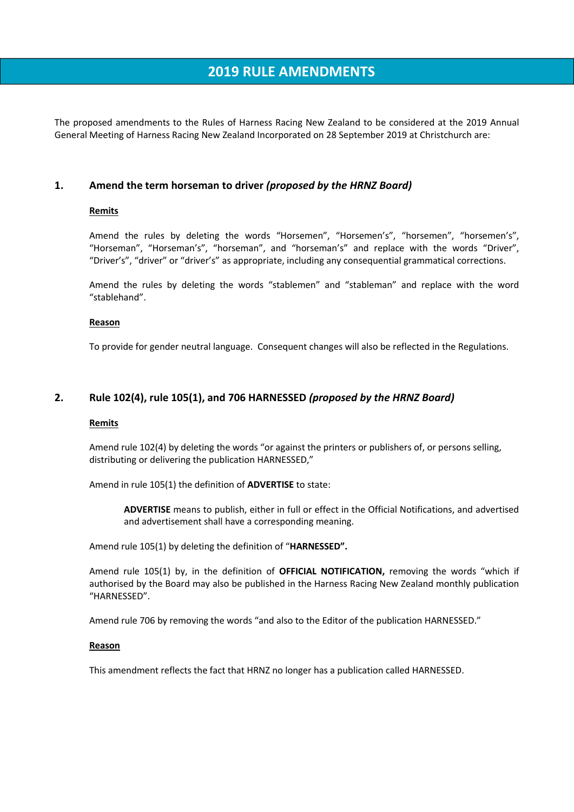# **2019 RULE AMENDMENTS**

The proposed amendments to the Rules of Harness Racing New Zealand to be considered at the 2019 Annual General Meeting of Harness Racing New Zealand Incorporated on 28 September 2019 at Christchurch are:

## **1. Amend the term horseman to driver** *(proposed by the HRNZ Board)*

## **Remits**

Amend the rules by deleting the words "Horsemen", "Horsemen's", "horsemen", "horsemen's", "Horseman", "Horseman's", "horseman", and "horseman's" and replace with the words "Driver", "Driver's", "driver" or "driver's" as appropriate, including any consequential grammatical corrections.

Amend the rules by deleting the words "stablemen" and "stableman" and replace with the word "stablehand".

#### **Reason**

To provide for gender neutral language. Consequent changes will also be reflected in the Regulations.

# **2. Rule 102(4), rule 105(1), and 706 HARNESSED** *(proposed by the HRNZ Board)*

#### **Remits**

Amend rule 102(4) by deleting the words "or against the printers or publishers of, or persons selling, distributing or delivering the publication HARNESSED,"

Amend in rule 105(1) the definition of **ADVERTISE** to state:

**ADVERTISE** means to publish, either in full or effect in the Official Notifications, and advertised and advertisement shall have a corresponding meaning.

Amend rule 105(1) by deleting the definition of "**HARNESSED".**

Amend rule 105(1) by, in the definition of **OFFICIAL NOTIFICATION,** removing the words "which if authorised by the Board may also be published in the Harness Racing New Zealand monthly publication "HARNESSED".

Amend rule 706 by removing the words "and also to the Editor of the publication HARNESSED."

#### **Reason**

This amendment reflects the fact that HRNZ no longer has a publication called HARNESSED.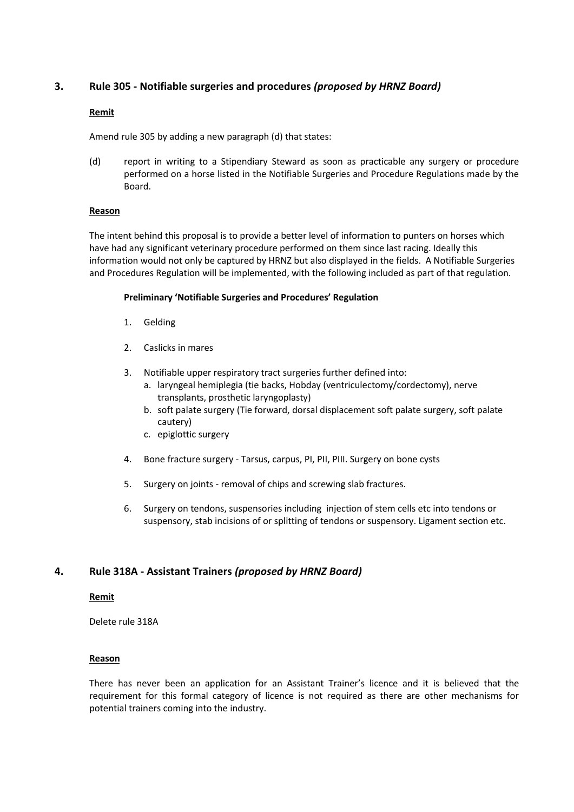# **3. Rule 305 - Notifiable surgeries and procedures** *(proposed by HRNZ Board)*

## **Remit**

Amend rule 305 by adding a new paragraph (d) that states:

(d) report in writing to a Stipendiary Steward as soon as practicable any surgery or procedure performed on a horse listed in the Notifiable Surgeries and Procedure Regulations made by the Board.

## **Reason**

The intent behind this proposal is to provide a better level of information to punters on horses which have had any significant veterinary procedure performed on them since last racing. Ideally this information would not only be captured by HRNZ but also displayed in the fields. A Notifiable Surgeries and Procedures Regulation will be implemented, with the following included as part of that regulation.

## **Preliminary 'Notifiable Surgeries and Procedures' Regulation**

- 1. Gelding
- 2. Caslicks in mares
- 3. Notifiable upper respiratory tract surgeries further defined into:
	- a. laryngeal hemiplegia (tie backs, Hobday (ventriculectomy/cordectomy), nerve transplants, prosthetic laryngoplasty)
	- b. soft palate surgery (Tie forward, dorsal displacement soft palate surgery, soft palate cautery)
	- c. epiglottic surgery
- 4. Bone fracture surgery Tarsus, carpus, PI, PII, PIII. Surgery on bone cysts
- 5. Surgery on joints removal of chips and screwing slab fractures.
- 6. Surgery on tendons, suspensories including injection of stem cells etc into tendons or suspensory, stab incisions of or splitting of tendons or suspensory. Ligament section etc.

## **4. Rule 318A - Assistant Trainers** *(proposed by HRNZ Board)*

## **Remit**

Delete rule 318A

## **Reason**

There has never been an application for an Assistant Trainer's licence and it is believed that the requirement for this formal category of licence is not required as there are other mechanisms for potential trainers coming into the industry.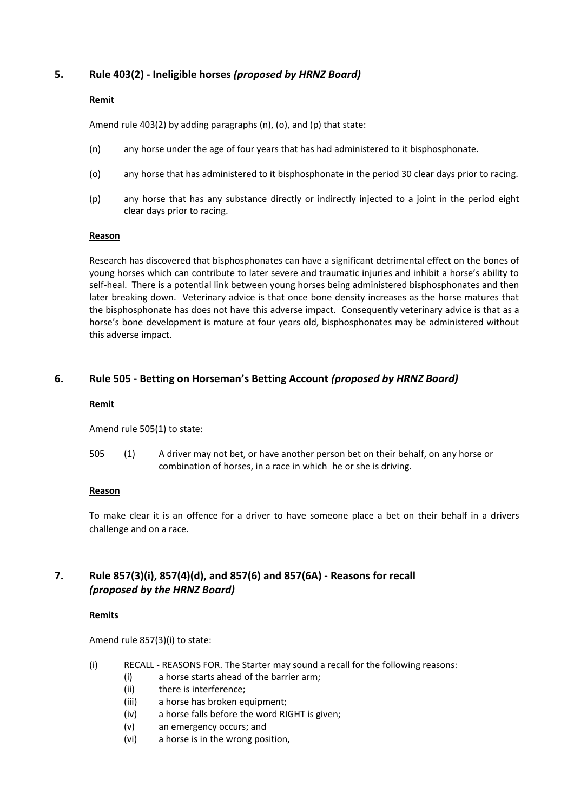# **5. Rule 403(2) - Ineligible horses** *(proposed by HRNZ Board)*

## **Remit**

Amend rule 403(2) by adding paragraphs (n), (o), and (p) that state:

- (n) any horse under the age of four years that has had administered to it bisphosphonate.
- (o) any horse that has administered to it bisphosphonate in the period 30 clear days prior to racing.
- (p) any horse that has any substance directly or indirectly injected to a joint in the period eight clear days prior to racing.

## **Reason**

Research has discovered that bisphosphonates can have a significant detrimental effect on the bones of young horses which can contribute to later severe and traumatic injuries and inhibit a horse's ability to self-heal. There is a potential link between young horses being administered bisphosphonates and then later breaking down. Veterinary advice is that once bone density increases as the horse matures that the bisphosphonate has does not have this adverse impact. Consequently veterinary advice is that as a horse's bone development is mature at four years old, bisphosphonates may be administered without this adverse impact.

# **6. Rule 505 - Betting on Horseman's Betting Account** *(proposed by HRNZ Board)*

## **Remit**

Amend rule 505(1) to state:

505 (1) A driver may not bet, or have another person bet on their behalf, on any horse or combination of horses, in a race in which he or she is driving.

## **Reason**

To make clear it is an offence for a driver to have someone place a bet on their behalf in a drivers challenge and on a race.

# **7. Rule 857(3)(i), 857(4)(d), and 857(6) and 857(6A) - Reasons for recall** *(proposed by the HRNZ Board)*

## **Remits**

Amend rule 857(3)(i) to state:

- (i) RECALL REASONS FOR. The Starter may sound a recall for the following reasons:
	- (i) a horse starts ahead of the barrier arm;
	- (ii) there is interference;
	- (iii) a horse has broken equipment;
	- (iv) a horse falls before the word RIGHT is given;
	- (v) an emergency occurs; and
	- (vi) a horse is in the wrong position,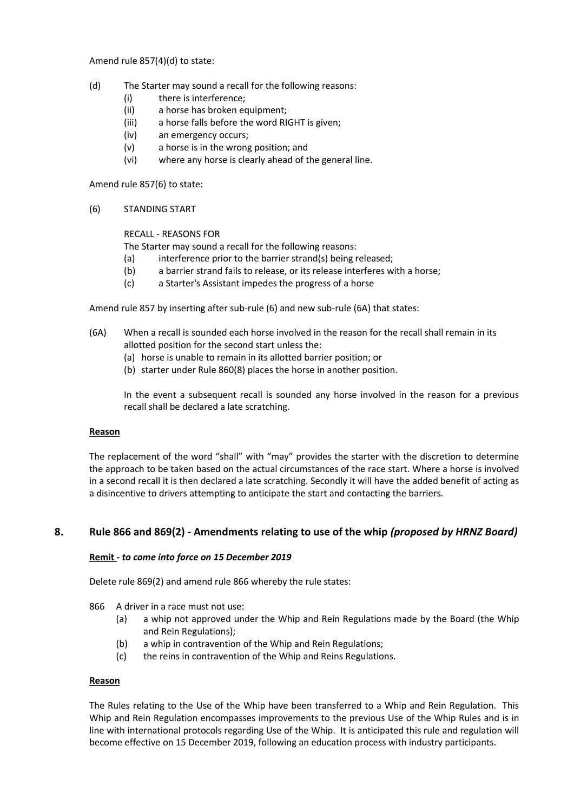Amend rule 857(4)(d) to state:

- (d) The Starter may sound a recall for the following reasons:
	- (i) there is interference;
	- (ii) a horse has broken equipment;
	- (iii) a horse falls before the word RIGHT is given;
	- (iv) an emergency occurs;
	- (v) a horse is in the wrong position; and
	- (vi) where any horse is clearly ahead of the general line.

Amend rule 857(6) to state:

(6) STANDING START

RECALL - REASONS FOR

The Starter may sound a recall for the following reasons:

- (a) interference prior to the barrier strand(s) being released;
- (b) a barrier strand fails to release, or its release interferes with a horse;
- (c) a Starter's Assistant impedes the progress of a horse

Amend rule 857 by inserting after sub-rule (6) and new sub-rule (6A) that states:

- (6A) When a recall is sounded each horse involved in the reason for the recall shall remain in its allotted position for the second start unless the:
	- (a) horse is unable to remain in its allotted barrier position; or
	- (b) starter under Rule 860(8) places the horse in another position.

In the event a subsequent recall is sounded any horse involved in the reason for a previous recall shall be declared a late scratching.

#### **Reason**

The replacement of the word "shall" with "may" provides the starter with the discretion to determine the approach to be taken based on the actual circumstances of the race start. Where a horse is involved in a second recall it is then declared a late scratching. Secondly it will have the added benefit of acting as a disincentive to drivers attempting to anticipate the start and contacting the barriers.

## **8. Rule 866 and 869(2) - Amendments relating to use of the whip** *(proposed by HRNZ Board)*

#### **Remit** *- to come into force on 15 December 2019*

Delete rule 869(2) and amend rule 866 whereby the rule states:

- 866 A driver in a race must not use:
	- (a) a whip not approved under the Whip and Rein Regulations made by the Board (the Whip and Rein Regulations);
	- (b) a whip in contravention of the Whip and Rein Regulations;
	- (c) the reins in contravention of the Whip and Reins Regulations.

#### **Reason**

The Rules relating to the Use of the Whip have been transferred to a Whip and Rein Regulation. This Whip and Rein Regulation encompasses improvements to the previous Use of the Whip Rules and is in line with international protocols regarding Use of the Whip. It is anticipated this rule and regulation will become effective on 15 December 2019, following an education process with industry participants.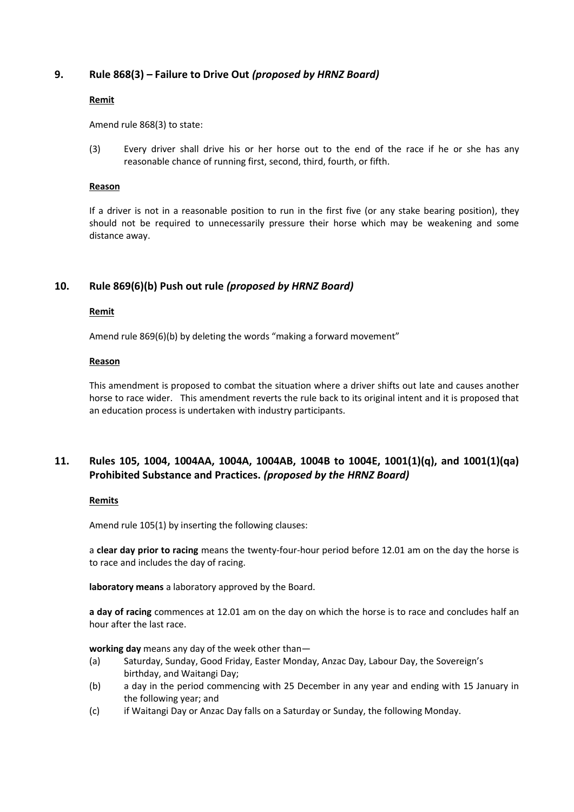# **9. Rule 868(3)** *–* **Failure to Drive Out** *(proposed by HRNZ Board)*

## **Remit**

Amend rule 868(3) to state:

(3) Every driver shall drive his or her horse out to the end of the race if he or she has any reasonable chance of running first, second, third, fourth, or fifth.

#### **Reason**

If a driver is not in a reasonable position to run in the first five (or any stake bearing position), they should not be required to unnecessarily pressure their horse which may be weakening and some distance away.

# **10. Rule 869(6)(b) Push out rule** *(proposed by HRNZ Board)*

## **Remit**

Amend rule 869(6)(b) by deleting the words "making a forward movement"

#### **Reason**

This amendment is proposed to combat the situation where a driver shifts out late and causes another horse to race wider. This amendment reverts the rule back to its original intent and it is proposed that an education process is undertaken with industry participants.

# **11. Rules 105, 1004, 1004AA, 1004A, 1004AB, 1004B to 1004E, 1001(1)(q), and 1001(1)(qa) Prohibited Substance and Practices.** *(proposed by the HRNZ Board)*

### **Remits**

Amend rule 105(1) by inserting the following clauses:

a **clear day prior to racing** means the twenty-four-hour period before 12.01 am on the day the horse is to race and includes the day of racing.

**laboratory means** a laboratory approved by the Board.

**a day of racing** commences at 12.01 am on the day on which the horse is to race and concludes half an hour after the last race.

**working day** means any day of the week other than—

- (a) Saturday, Sunday, Good Friday, Easter Monday, Anzac Day, Labour Day, the Sovereign's birthday, and Waitangi Day;
- (b) a day in the period commencing with 25 December in any year and ending with 15 January in the following year; and
- (c) if Waitangi Day or Anzac Day falls on a Saturday or Sunday, the following Monday.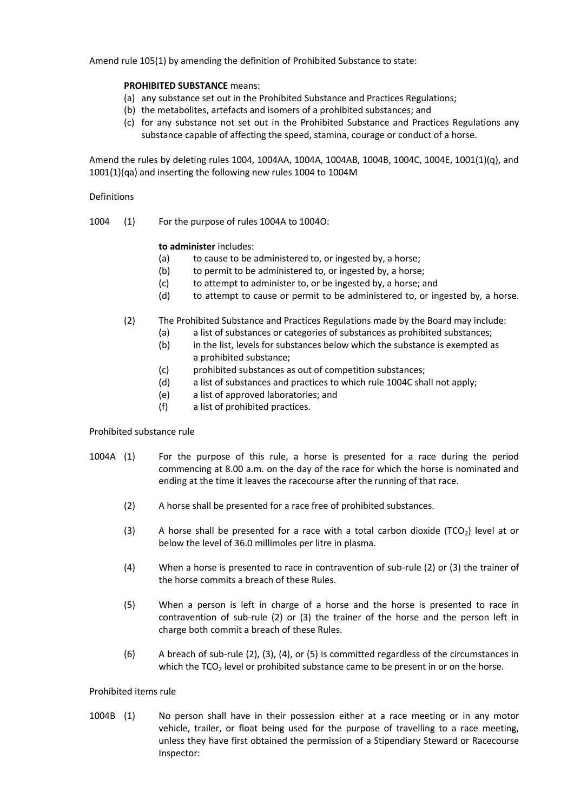Amend rule 105(1) by amending the definition of Prohibited Substance to state:

### **PROHIBITED SUBSTANCE** means:

- (a) any substance set out in the Prohibited Substance and Practices Regulations;
- (b) the metabolites, artefacts and isomers of a prohibited substances; and
- (c) for any substance not set out in the Prohibited Substance and Practices Regulations any substance capable of affecting the speed, stamina, courage or conduct of a horse.

Amend the rules by deleting rules 1004, 1004AA, 1004A, 1004AB, 1004B, 1004C, 1004E, 1001(1)(q), and 1001(1)(qa) and inserting the following new rules 1004 to 1004M

#### Definitions

1004 (1) For the purpose of rules 1004A to 1004O:

## **to administer** includes:

- (a) to cause to be administered to, or ingested by, a horse;
- (b) to permit to be administered to, or ingested by, a horse;
- (c) to attempt to administer to, or be ingested by, a horse; and
- (d) to attempt to cause or permit to be administered to, or ingested by, a horse.
- (2) The Prohibited Substance and Practices Regulations made by the Board may include:
	- (a) a list of substances or categories of substances as prohibited substances;
	- (b) in the list, levels for substances below which the substance is exempted as a prohibited substance;
	- (c) prohibited substances as out of competition substances;
	- (d) a list of substances and practices to which rule 1004C shall not apply;
	- (e) a list of approved laboratories; and
	- (f) a list of prohibited practices.

#### Prohibited substance rule

- 1004A (1) For the purpose of this rule, a horse is presented for a race during the period commencing at 8.00 a.m. on the day of the race for which the horse is nominated and ending at the time it leaves the racecourse after the running of that race.
	- (2) A horse shall be presented for a race free of prohibited substances.
	- (3) A horse shall be presented for a race with a total carbon dioxide (TCO<sub>2</sub>) level at or below the level of 36.0 millimoles per litre in plasma.
	- (4) When a horse is presented to race in contravention of sub-rule (2) or (3) the trainer of the horse commits a breach of these Rules.
	- (5) When a person is left in charge of a horse and the horse is presented to race in contravention of sub-rule (2) or (3) the trainer of the horse and the person left in charge both commit a breach of these Rules.
	- (6) A breach of sub-rule (2), (3), (4), or (5) is committed regardless of the circumstances in which the TCO<sub>2</sub> level or prohibited substance came to be present in or on the horse.

## Prohibited items rule

1004B (1) No person shall have in their possession either at a race meeting or in any motor vehicle, trailer, or float being used for the purpose of travelling to a race meeting, unless they have first obtained the permission of a Stipendiary Steward or Racecourse Inspector: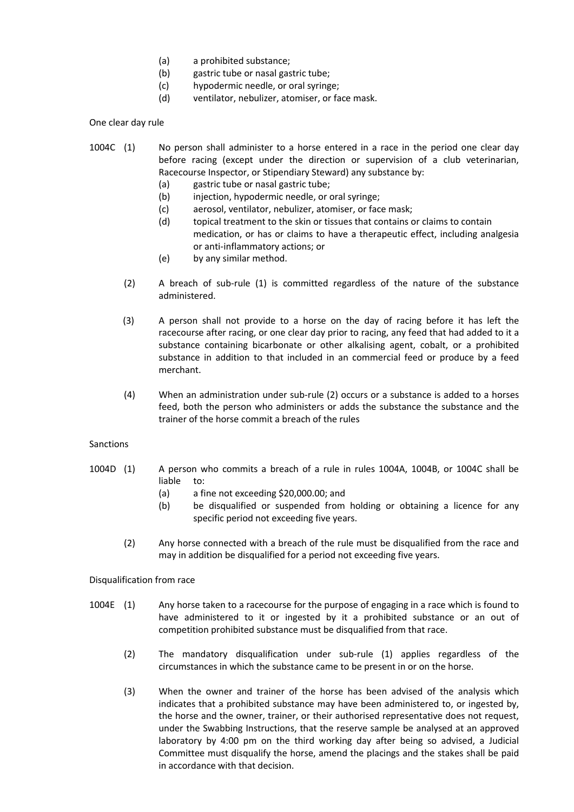- (a) a prohibited substance;
- (b) gastric tube or nasal gastric tube;
- (c) hypodermic needle, or oral syringe;
- (d) ventilator, nebulizer, atomiser, or face mask.

One clear day rule

- 1004C (1) No person shall administer to a horse entered in a race in the period one clear day before racing (except under the direction or supervision of a club veterinarian, Racecourse Inspector, or Stipendiary Steward) any substance by:
	- (a) gastric tube or nasal gastric tube;
	- (b) injection, hypodermic needle, or oral syringe;
	- (c) aerosol, ventilator, nebulizer, atomiser, or face mask;
	- (d) topical treatment to the skin or tissues that contains or claims to contain medication, or has or claims to have a therapeutic effect, including analgesia or anti-inflammatory actions; or
	- (e) by any similar method.
	- (2) A breach of sub-rule (1) is committed regardless of the nature of the substance administered.
	- (3) A person shall not provide to a horse on the day of racing before it has left the racecourse after racing, or one clear day prior to racing, any feed that had added to it a substance containing bicarbonate or other alkalising agent, cobalt, or a prohibited substance in addition to that included in an commercial feed or produce by a feed merchant.
	- (4) When an administration under sub-rule (2) occurs or a substance is added to a horses feed, both the person who administers or adds the substance the substance and the trainer of the horse commit a breach of the rules

#### Sanctions

- 1004D (1) A person who commits a breach of a rule in rules 1004A, 1004B, or 1004C shall be liable to:
	- (a) a fine not exceeding \$20,000.00; and
	- (b) be disqualified or suspended from holding or obtaining a licence for any specific period not exceeding five years.
	- (2) Any horse connected with a breach of the rule must be disqualified from the race and may in addition be disqualified for a period not exceeding five years.

Disqualification from race

- 1004E (1) Any horse taken to a racecourse for the purpose of engaging in a race which is found to have administered to it or ingested by it a prohibited substance or an out of competition prohibited substance must be disqualified from that race.
	- (2) The mandatory disqualification under sub-rule (1) applies regardless of the circumstances in which the substance came to be present in or on the horse.
	- (3) When the owner and trainer of the horse has been advised of the analysis which indicates that a prohibited substance may have been administered to, or ingested by, the horse and the owner, trainer, or their authorised representative does not request, under the Swabbing Instructions, that the reserve sample be analysed at an approved laboratory by 4:00 pm on the third working day after being so advised, a Judicial Committee must disqualify the horse, amend the placings and the stakes shall be paid in accordance with that decision.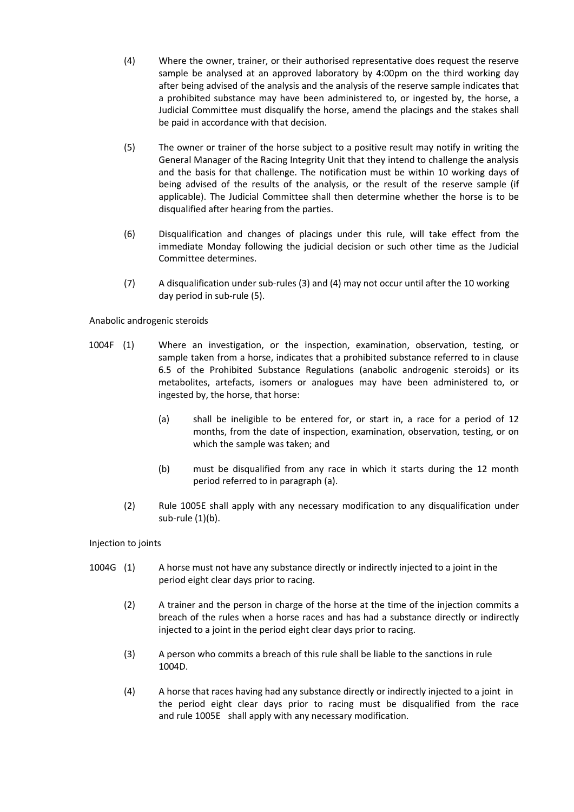- (4) Where the owner, trainer, or their authorised representative does request the reserve sample be analysed at an approved laboratory by 4:00pm on the third working day after being advised of the analysis and the analysis of the reserve sample indicates that a prohibited substance may have been administered to, or ingested by, the horse, a Judicial Committee must disqualify the horse, amend the placings and the stakes shall be paid in accordance with that decision.
- (5) The owner or trainer of the horse subject to a positive result may notify in writing the General Manager of the Racing Integrity Unit that they intend to challenge the analysis and the basis for that challenge. The notification must be within 10 working days of being advised of the results of the analysis, or the result of the reserve sample (if applicable). The Judicial Committee shall then determine whether the horse is to be disqualified after hearing from the parties.
- (6) Disqualification and changes of placings under this rule, will take effect from the immediate Monday following the judicial decision or such other time as the Judicial Committee determines.
- (7) A disqualification under sub-rules (3) and (4) may not occur until after the 10 working day period in sub-rule (5).

Anabolic androgenic steroids

- 1004F (1) Where an investigation, or the inspection, examination, observation, testing, or sample taken from a horse, indicates that a prohibited substance referred to in clause 6.5 of the Prohibited Substance Regulations (anabolic androgenic steroids) or its metabolites, artefacts, isomers or analogues may have been administered to, or ingested by, the horse, that horse:
	- (a) shall be ineligible to be entered for, or start in, a race for a period of 12 months, from the date of inspection, examination, observation, testing, or on which the sample was taken; and
	- (b) must be disqualified from any race in which it starts during the 12 month period referred to in paragraph (a).
	- (2) Rule 1005E shall apply with any necessary modification to any disqualification under sub-rule (1)(b).

Injection to joints

- 1004G (1) A horse must not have any substance directly or indirectly injected to a joint in the period eight clear days prior to racing.
	- (2) A trainer and the person in charge of the horse at the time of the injection commits a breach of the rules when a horse races and has had a substance directly or indirectly injected to a joint in the period eight clear days prior to racing.
	- (3) A person who commits a breach of this rule shall be liable to the sanctions in rule 1004D.
	- (4) A horse that races having had any substance directly or indirectly injected to a joint in the period eight clear days prior to racing must be disqualified from the race and rule 1005E shall apply with any necessary modification.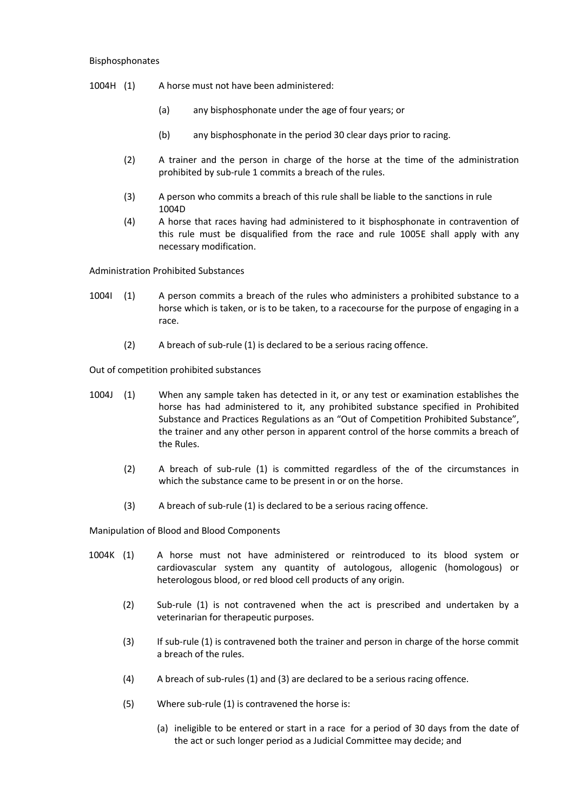#### Bisphosphonates

- 1004H (1) A horse must not have been administered:
	- (a) any bisphosphonate under the age of four years; or
	- (b) any bisphosphonate in the period 30 clear days prior to racing.
	- (2) A trainer and the person in charge of the horse at the time of the administration prohibited by sub-rule 1 commits a breach of the rules.
	- (3) A person who commits a breach of this rule shall be liable to the sanctions in rule 1004D
	- (4) A horse that races having had administered to it bisphosphonate in contravention of this rule must be disqualified from the race and rule 1005E shall apply with any necessary modification.

Administration Prohibited Substances

- 1004I (1) A person commits a breach of the rules who administers a prohibited substance to a horse which is taken, or is to be taken, to a racecourse for the purpose of engaging in a race.
	- (2) A breach of sub-rule (1) is declared to be a serious racing offence.

Out of competition prohibited substances

- 1004J (1) When any sample taken has detected in it, or any test or examination establishes the horse has had administered to it, any prohibited substance specified in Prohibited Substance and Practices Regulations as an "Out of Competition Prohibited Substance", the trainer and any other person in apparent control of the horse commits a breach of the Rules.
	- (2) A breach of sub-rule (1) is committed regardless of the of the circumstances in which the substance came to be present in or on the horse.
	- (3) A breach of sub-rule (1) is declared to be a serious racing offence.

Manipulation of Blood and Blood Components

- 1004K (1) A horse must not have administered or reintroduced to its blood system or cardiovascular system any quantity of autologous, allogenic (homologous) or heterologous blood, or red blood cell products of any origin.
	- (2) Sub-rule (1) is not contravened when the act is prescribed and undertaken by a veterinarian for therapeutic purposes.
	- (3) If sub-rule (1) is contravened both the trainer and person in charge of the horse commit a breach of the rules.
	- (4) A breach of sub-rules (1) and (3) are declared to be a serious racing offence.
	- (5) Where sub-rule (1) is contravened the horse is:
		- (a) ineligible to be entered or start in a race for a period of 30 days from the date of the act or such longer period as a Judicial Committee may decide; and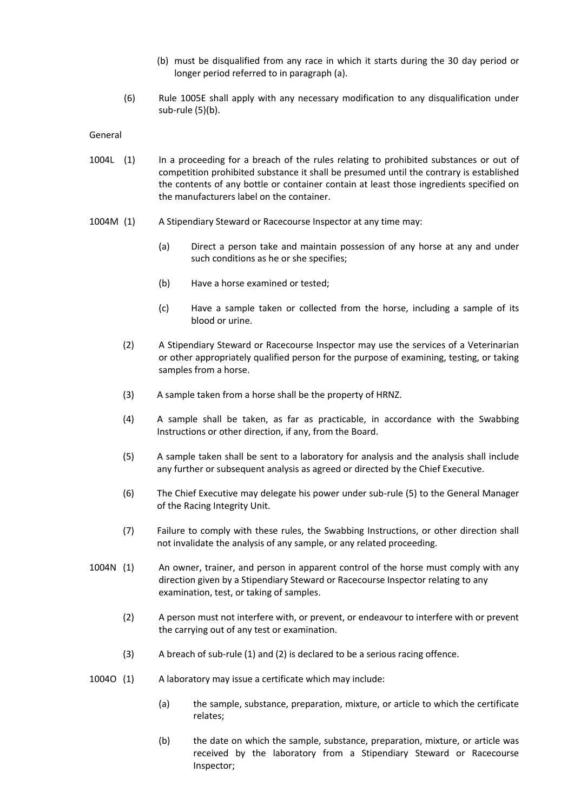- (b) must be disqualified from any race in which it starts during the 30 day period or longer period referred to in paragraph (a).
- (6) Rule 1005E shall apply with any necessary modification to any disqualification under sub-rule (5)(b).

General

- 1004L (1) In a proceeding for a breach of the rules relating to prohibited substances or out of competition prohibited substance it shall be presumed until the contrary is established the contents of any bottle or container contain at least those ingredients specified on the manufacturers label on the container.
- 1004M (1) A Stipendiary Steward or Racecourse Inspector at any time may:
	- (a) Direct a person take and maintain possession of any horse at any and under such conditions as he or she specifies;
	- (b) Have a horse examined or tested;
	- (c) Have a sample taken or collected from the horse, including a sample of its blood or urine.
	- (2) A Stipendiary Steward or Racecourse Inspector may use the services of a Veterinarian or other appropriately qualified person for the purpose of examining, testing, or taking samples from a horse.
	- (3) A sample taken from a horse shall be the property of HRNZ.
	- (4) A sample shall be taken, as far as practicable, in accordance with the Swabbing Instructions or other direction, if any, from the Board.
	- (5) A sample taken shall be sent to a laboratory for analysis and the analysis shall include any further or subsequent analysis as agreed or directed by the Chief Executive.
	- (6) The Chief Executive may delegate his power under sub-rule (5) to the General Manager of the Racing Integrity Unit.
	- (7) Failure to comply with these rules, the Swabbing Instructions, or other direction shall not invalidate the analysis of any sample, or any related proceeding.
- 1004N (1) An owner, trainer, and person in apparent control of the horse must comply with any direction given by a Stipendiary Steward or Racecourse Inspector relating to any examination, test, or taking of samples.
	- (2) A person must not interfere with, or prevent, or endeavour to interfere with or prevent the carrying out of any test or examination.
	- (3) A breach of sub-rule (1) and (2) is declared to be a serious racing offence.
- 1004O (1) A laboratory may issue a certificate which may include:
	- (a) the sample, substance, preparation, mixture, or article to which the certificate relates;
	- (b) the date on which the sample, substance, preparation, mixture, or article was received by the laboratory from a Stipendiary Steward or Racecourse Inspector;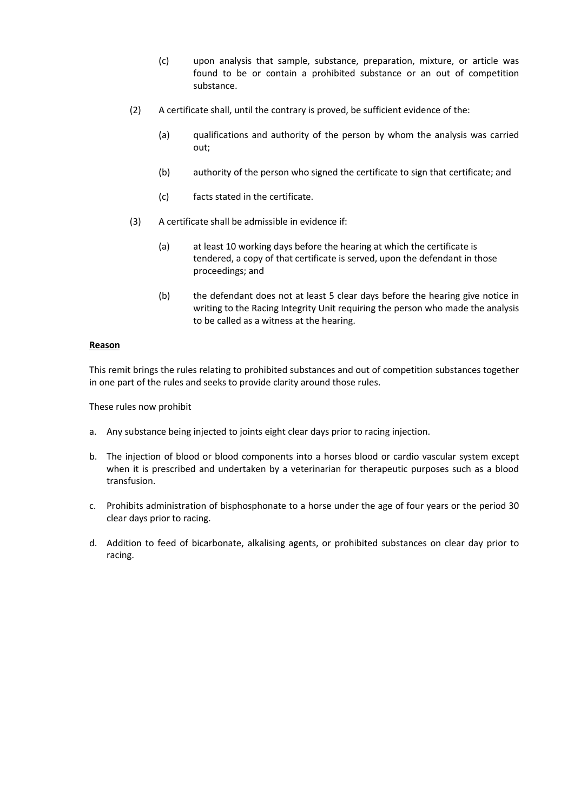- (c) upon analysis that sample, substance, preparation, mixture, or article was found to be or contain a prohibited substance or an out of competition substance.
- (2) A certificate shall, until the contrary is proved, be sufficient evidence of the:
	- (a) qualifications and authority of the person by whom the analysis was carried out;
	- (b) authority of the person who signed the certificate to sign that certificate; and
	- (c) facts stated in the certificate.
- (3) A certificate shall be admissible in evidence if:
	- (a) at least 10 working days before the hearing at which the certificate is tendered, a copy of that certificate is served, upon the defendant in those proceedings; and
	- (b) the defendant does not at least 5 clear days before the hearing give notice in writing to the Racing Integrity Unit requiring the person who made the analysis to be called as a witness at the hearing.

## **Reason**

This remit brings the rules relating to prohibited substances and out of competition substances together in one part of the rules and seeks to provide clarity around those rules.

These rules now prohibit

- a. Any substance being injected to joints eight clear days prior to racing injection.
- b. The injection of blood or blood components into a horses blood or cardio vascular system except when it is prescribed and undertaken by a veterinarian for therapeutic purposes such as a blood transfusion.
- c. Prohibits administration of bisphosphonate to a horse under the age of four years or the period 30 clear days prior to racing.
- d. Addition to feed of bicarbonate, alkalising agents, or prohibited substances on clear day prior to racing.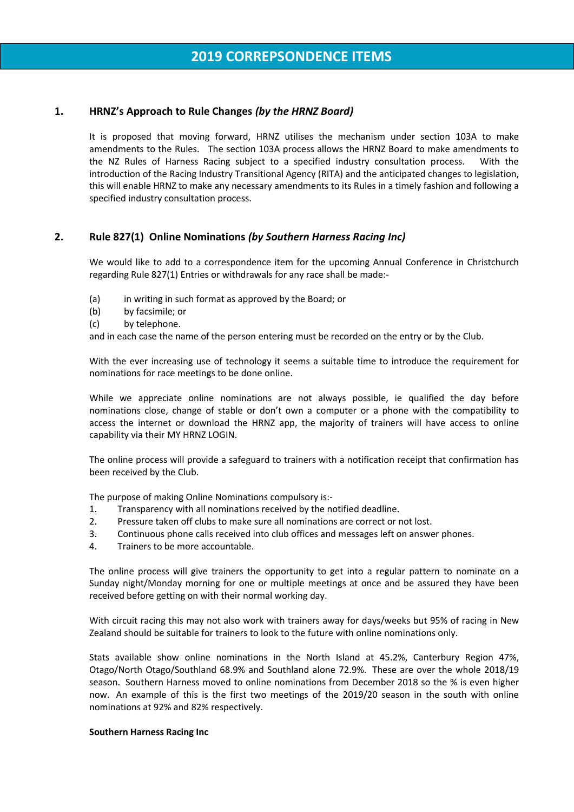# **1. HRNZ's Approach to Rule Changes** *(by the HRNZ Board)*

It is proposed that moving forward, HRNZ utilises the mechanism under section 103A to make amendments to the Rules. The section 103A process allows the HRNZ Board to make amendments to the NZ Rules of Harness Racing subject to a specified industry consultation process. With the introduction of the Racing Industry Transitional Agency (RITA) and the anticipated changes to legislation, this will enable HRNZ to make any necessary amendments to its Rules in a timely fashion and following a specified industry consultation process.

# **2. Rule 827(1) Online Nominations** *(by Southern Harness Racing Inc)*

We would like to add to a correspondence item for the upcoming Annual Conference in Christchurch regarding Rule 827(1) Entries or withdrawals for any race shall be made:-

- (a) in writing in such format as approved by the Board; or
- (b) by facsimile; or
- (c) by telephone.

and in each case the name of the person entering must be recorded on the entry or by the Club.

With the ever increasing use of technology it seems a suitable time to introduce the requirement for nominations for race meetings to be done online.

While we appreciate online nominations are not always possible, ie qualified the day before nominations close, change of stable or don't own a computer or a phone with the compatibility to access the internet or download the HRNZ app, the majority of trainers will have access to online capability via their MY HRNZ LOGIN.

The online process will provide a safeguard to trainers with a notification receipt that confirmation has been received by the Club.

The purpose of making Online Nominations compulsory is:-

- 1. Transparency with all nominations received by the notified deadline.
- 2. Pressure taken off clubs to make sure all nominations are correct or not lost.
- 3. Continuous phone calls received into club offices and messages left on answer phones.
- 4. Trainers to be more accountable.

The online process will give trainers the opportunity to get into a regular pattern to nominate on a Sunday night/Monday morning for one or multiple meetings at once and be assured they have been received before getting on with their normal working day.

With circuit racing this may not also work with trainers away for days/weeks but 95% of racing in New Zealand should be suitable for trainers to look to the future with online nominations only.

Stats available show online nominations in the North Island at 45.2%, Canterbury Region 47%, Otago/North Otago/Southland 68.9% and Southland alone 72.9%. These are over the whole 2018/19 season. Southern Harness moved to online nominations from December 2018 so the % is even higher now. An example of this is the first two meetings of the 2019/20 season in the south with online nominations at 92% and 82% respectively.

#### **Southern Harness Racing Inc**